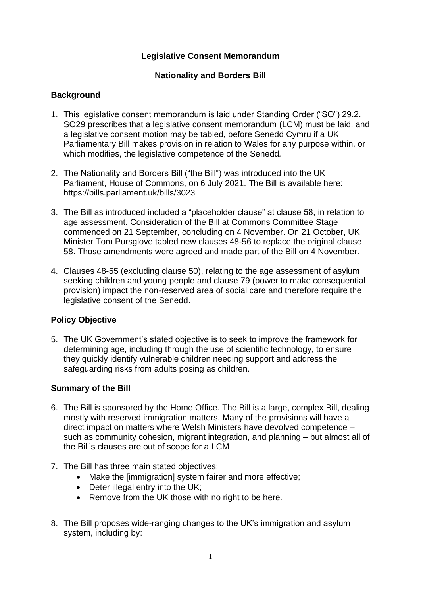## **Legislative Consent Memorandum**

### **Nationality and Borders Bill**

## **Background**

- 1. This legislative consent memorandum is laid under Standing Order ("SO") 29.2. SO29 prescribes that a legislative consent memorandum (LCM) must be laid, and a legislative consent motion may be tabled, before Senedd Cymru if a UK Parliamentary Bill makes provision in relation to Wales for any purpose within, or which modifies, the legislative competence of the Senedd*.*
- 2. The Nationality and Borders Bill ("the Bill") was introduced into the UK Parliament, House of Commons, on 6 July 2021. The Bill is available here: https://bills.parliament.uk/bills/3023
- 3. The Bill as introduced included a "placeholder clause" at clause 58, in relation to age assessment. Consideration of the Bill at Commons Committee Stage commenced on 21 September, concluding on 4 November. On 21 October, UK Minister Tom Pursglove tabled new clauses 48-56 to replace the original clause 58. Those amendments were agreed and made part of the Bill on 4 November.
- 4. Clauses 48-55 (excluding clause 50), relating to the age assessment of asylum seeking children and young people and clause 79 (power to make consequential provision) impact the non-reserved area of social care and therefore require the legislative consent of the Senedd.

### **Policy Objective**

5. The UK Government's stated objective is to seek to improve the framework for determining age, including through the use of scientific technology, to ensure they quickly identify vulnerable children needing support and address the safeguarding risks from adults posing as children.

### **Summary of the Bill**

- 6. The Bill is sponsored by the Home Office. The Bill is a large, complex Bill, dealing mostly with reserved immigration matters. Many of the provisions will have a direct impact on matters where Welsh Ministers have devolved competence – such as community cohesion, migrant integration, and planning – but almost all of the Bill's clauses are out of scope for a LCM
- 7. The Bill has three main stated objectives:
	- Make the [immigration] system fairer and more effective;
	- Deter illegal entry into the UK;
	- Remove from the UK those with no right to be here.
- 8. The Bill proposes wide-ranging changes to the UK's immigration and asylum system, including by: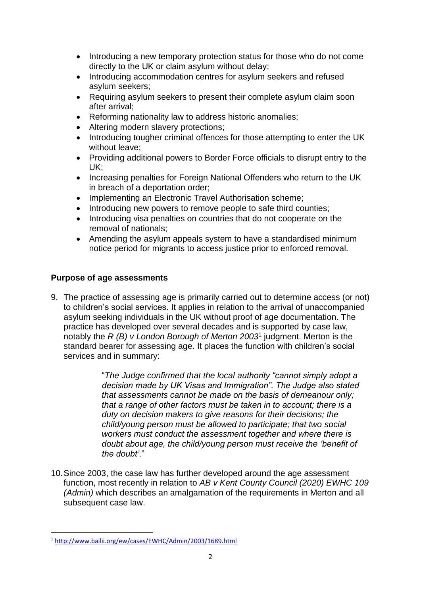- Introducing a new temporary protection status for those who do not come directly to the UK or claim asylum without delay;
- Introducing accommodation centres for asylum seekers and refused asylum seekers;
- Requiring asylum seekers to present their complete asylum claim soon after arrival;
- Reforming nationality law to address historic anomalies;
- Altering modern slavery protections;
- Introducing tougher criminal offences for those attempting to enter the UK without leave;
- Providing additional powers to Border Force officials to disrupt entry to the UK;
- Increasing penalties for Foreign National Offenders who return to the UK in breach of a deportation order;
- Implementing an Electronic Travel Authorisation scheme:
- Introducing new powers to remove people to safe third counties;
- Introducing visa penalties on countries that do not cooperate on the removal of nationals;
- Amending the asylum appeals system to have a standardised minimum notice period for migrants to access justice prior to enforced removal.

## **Purpose of age assessments**

9. The practice of assessing age is primarily carried out to determine access (or not) to children's social services. It applies in relation to the arrival of unaccompanied asylum seeking individuals in the UK without proof of age documentation. The practice has developed over several decades and is supported by case law, notably the *R (B) v London Borough of Merton 2003*<sup>1</sup> judgment. Merton is the standard bearer for assessing age. It places the function with children's social services and in summary:

> "*The Judge confirmed that the local authority "cannot simply adopt a decision made by UK Visas and Immigration". The Judge also stated that assessments cannot be made on the basis of demeanour only; that a range of other factors must be taken in to account; there is a duty on decision makers to give reasons for their decisions; the child/young person must be allowed to participate; that two social workers must conduct the assessment together and where there is doubt about age, the child/young person must receive the 'benefit of the doubt'*."

10.Since 2003, the case law has further developed around the age assessment function, most recently in relation to *AB v Kent County Council (2020) EWHC 109 (Admin)* which describes an amalgamation of the requirements in Merton and all subsequent case law.

<sup>1</sup> <http://www.bailii.org/ew/cases/EWHC/Admin/2003/1689.html>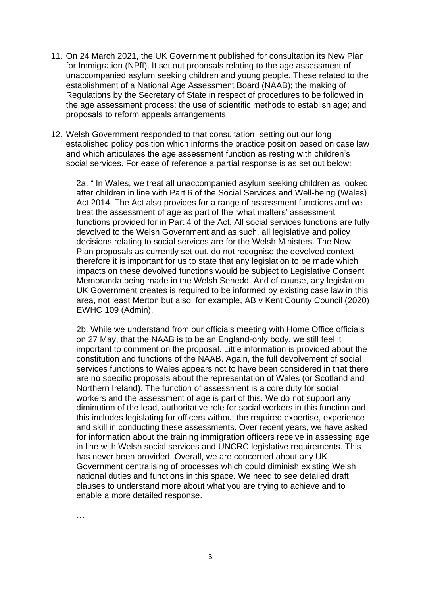- 11. On 24 March 2021, the UK Government published for consultation its New Plan for Immigration (NPfI). It set out proposals relating to the age assessment of unaccompanied asylum seeking children and young people. These related to the establishment of a National Age Assessment Board (NAAB); the making of Regulations by the Secretary of State in respect of procedures to be followed in the age assessment process; the use of scientific methods to establish age; and proposals to reform appeals arrangements.
- 12. Welsh Government responded to that consultation, setting out our long established policy position which informs the practice position based on case law and which articulates the age assessment function as resting with children's social services. For ease of reference a partial response is as set out below:

2a. " In Wales, we treat all unaccompanied asylum seeking children as looked after children in line with Part 6 of the Social Services and Well-being (Wales) Act 2014. The Act also provides for a range of assessment functions and we treat the assessment of age as part of the 'what matters' assessment functions provided for in Part 4 of the Act. All social services functions are fully devolved to the Welsh Government and as such, all legislative and policy decisions relating to social services are for the Welsh Ministers. The New Plan proposals as currently set out, do not recognise the devolved context therefore it is important for us to state that any legislation to be made which impacts on these devolved functions would be subject to Legislative Consent Memoranda being made in the Welsh Senedd. And of course, any legislation UK Government creates is required to be informed by existing case law in this area, not least Merton but also, for example, AB v Kent County Council (2020) EWHC 109 (Admin).

2b. While we understand from our officials meeting with Home Office officials on 27 May, that the NAAB is to be an England-only body, we still feel it important to comment on the proposal. Little information is provided about the constitution and functions of the NAAB. Again, the full devolvement of social services functions to Wales appears not to have been considered in that there are no specific proposals about the representation of Wales (or Scotland and Northern Ireland). The function of assessment is a core duty for social workers and the assessment of age is part of this. We do not support any diminution of the lead, authoritative role for social workers in this function and this includes legislating for officers without the required expertise, experience and skill in conducting these assessments. Over recent years, we have asked for information about the training immigration officers receive in assessing age in line with Welsh social services and UNCRC legislative requirements. This has never been provided. Overall, we are concerned about any UK Government centralising of processes which could diminish existing Welsh national duties and functions in this space. We need to see detailed draft clauses to understand more about what you are trying to achieve and to enable a more detailed response.

…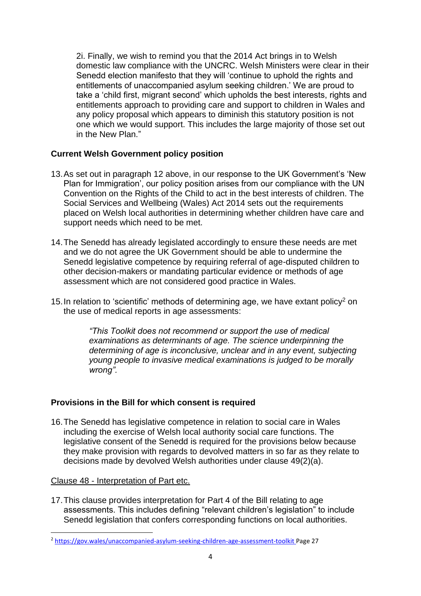2i. Finally, we wish to remind you that the 2014 Act brings in to Welsh domestic law compliance with the UNCRC. Welsh Ministers were clear in their Senedd election manifesto that they will 'continue to uphold the rights and entitlements of unaccompanied asylum seeking children.' We are proud to take a 'child first, migrant second' which upholds the best interests, rights and entitlements approach to providing care and support to children in Wales and any policy proposal which appears to diminish this statutory position is not one which we would support. This includes the large majority of those set out in the New Plan."

# **Current Welsh Government policy position**

- 13.As set out in paragraph 12 above, in our response to the UK Government's 'New Plan for Immigration', our policy position arises from our compliance with the UN Convention on the Rights of the Child to act in the best interests of children. The Social Services and Wellbeing (Wales) Act 2014 sets out the requirements placed on Welsh local authorities in determining whether children have care and support needs which need to be met.
- 14.The Senedd has already legislated accordingly to ensure these needs are met and we do not agree the UK Government should be able to undermine the Senedd legislative competence by requiring referral of age-disputed children to other decision-makers or mandating particular evidence or methods of age assessment which are not considered good practice in Wales.
- 15. In relation to 'scientific' methods of determining age, we have extant policy<sup>2</sup> on the use of medical reports in age assessments:

*"This Toolkit does not recommend or support the use of medical examinations as determinants of age. The science underpinning the determining of age is inconclusive, unclear and in any event, subjecting young people to invasive medical examinations is judged to be morally wrong".*

## **Provisions in the Bill for which consent is required**

16.The Senedd has legislative competence in relation to social care in Wales including the exercise of Welsh local authority social care functions. The legislative consent of the Senedd is required for the provisions below because they make provision with regards to devolved matters in so far as they relate to decisions made by devolved Welsh authorities under clause 49(2)(a).

### Clause 48 - Interpretation of Part etc.

17.This clause provides interpretation for Part 4 of the Bill relating to age assessments. This includes defining "relevant children's legislation" to include Senedd legislation that confers corresponding functions on local authorities.

<sup>2</sup> <https://gov.wales/unaccompanied-asylum-seeking-children-age-assessment-toolkit> Page 27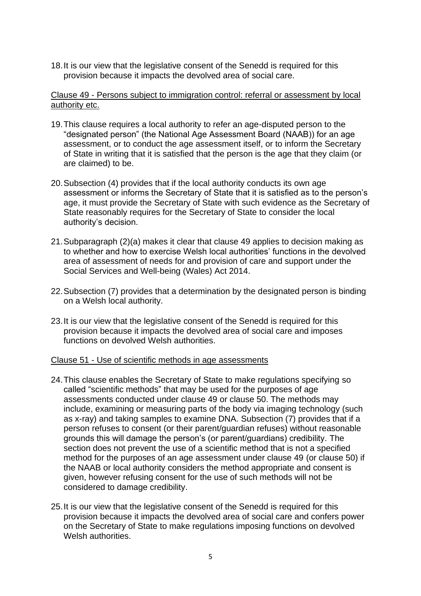18.It is our view that the legislative consent of the Senedd is required for this provision because it impacts the devolved area of social care.

### Clause 49 - Persons subject to immigration control: referral or assessment by local authority etc.

- 19.This clause requires a local authority to refer an age-disputed person to the "designated person" (the National Age Assessment Board (NAAB)) for an age assessment, or to conduct the age assessment itself, or to inform the Secretary of State in writing that it is satisfied that the person is the age that they claim (or are claimed) to be.
- 20.Subsection (4) provides that if the local authority conducts its own age assessment or informs the Secretary of State that it is satisfied as to the person's age, it must provide the Secretary of State with such evidence as the Secretary of State reasonably requires for the Secretary of State to consider the local authority's decision.
- 21.Subparagraph (2)(a) makes it clear that clause 49 applies to decision making as to whether and how to exercise Welsh local authorities' functions in the devolved area of assessment of needs for and provision of care and support under the Social Services and Well-being (Wales) Act 2014.
- 22.Subsection (7) provides that a determination by the designated person is binding on a Welsh local authority.
- 23.It is our view that the legislative consent of the Senedd is required for this provision because it impacts the devolved area of social care and imposes functions on devolved Welsh authorities.

### Clause 51 - Use of scientific methods in age assessments

- 24.This clause enables the Secretary of State to make regulations specifying so called "scientific methods" that may be used for the purposes of age assessments conducted under clause 49 or clause 50. The methods may include, examining or measuring parts of the body via imaging technology (such as x-ray) and taking samples to examine DNA. Subsection (7) provides that if a person refuses to consent (or their parent/guardian refuses) without reasonable grounds this will damage the person's (or parent/guardians) credibility. The section does not prevent the use of a scientific method that is not a specified method for the purposes of an age assessment under clause 49 (or clause 50) if the NAAB or local authority considers the method appropriate and consent is given, however refusing consent for the use of such methods will not be considered to damage credibility.
- 25.It is our view that the legislative consent of the Senedd is required for this provision because it impacts the devolved area of social care and confers power on the Secretary of State to make regulations imposing functions on devolved Welsh authorities.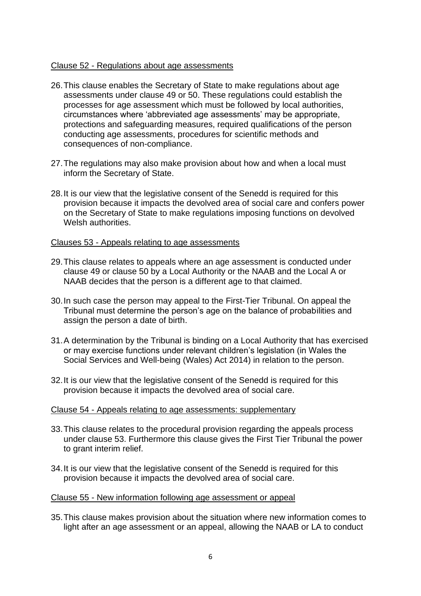### Clause 52 - Regulations about age assessments

- 26.This clause enables the Secretary of State to make regulations about age assessments under clause 49 or 50. These regulations could establish the processes for age assessment which must be followed by local authorities, circumstances where 'abbreviated age assessments' may be appropriate, protections and safeguarding measures, required qualifications of the person conducting age assessments, procedures for scientific methods and consequences of non-compliance.
- 27.The regulations may also make provision about how and when a local must inform the Secretary of State.
- 28.It is our view that the legislative consent of the Senedd is required for this provision because it impacts the devolved area of social care and confers power on the Secretary of State to make regulations imposing functions on devolved Welsh authorities.

#### Clauses 53 - Appeals relating to age assessments

- 29.This clause relates to appeals where an age assessment is conducted under clause 49 or clause 50 by a Local Authority or the NAAB and the Local A or NAAB decides that the person is a different age to that claimed.
- 30.In such case the person may appeal to the First-Tier Tribunal. On appeal the Tribunal must determine the person's age on the balance of probabilities and assign the person a date of birth.
- 31.A determination by the Tribunal is binding on a Local Authority that has exercised or may exercise functions under relevant children's legislation (in Wales the Social Services and Well-being (Wales) Act 2014) in relation to the person.
- 32.It is our view that the legislative consent of the Senedd is required for this provision because it impacts the devolved area of social care.

#### Clause 54 - Appeals relating to age assessments: supplementary

- 33.This clause relates to the procedural provision regarding the appeals process under clause 53. Furthermore this clause gives the First Tier Tribunal the power to grant interim relief.
- 34.It is our view that the legislative consent of the Senedd is required for this provision because it impacts the devolved area of social care.

#### Clause 55 - New information following age assessment or appeal

35.This clause makes provision about the situation where new information comes to light after an age assessment or an appeal, allowing the NAAB or LA to conduct